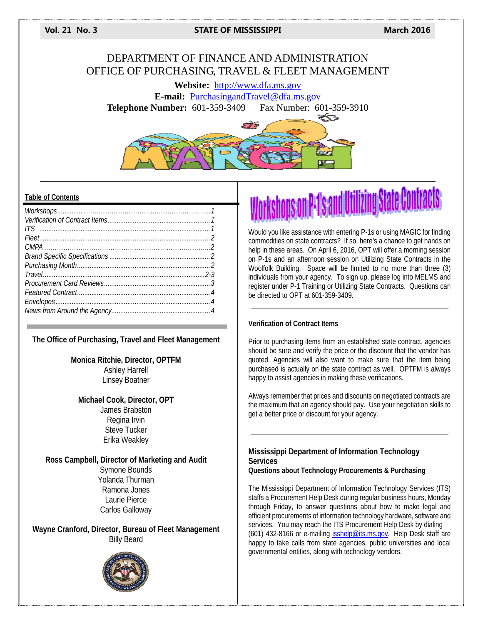**Vol. 21 No. 3 STATE OF MISSISSIPPI March 2016**

# DEPARTMENT OF FINANCE AND ADMINISTRATION OFFICE OF PURCHASING, TRAVEL & FLEET MANAGEMENT

**Website:** http://www.dfa.ms.gov **E-mail:** PurchasingandTravel@dfa.ms.gov **Telephone Number:** 601-359-3409 Fax Number: 601-359-3910



## **Table of Contents**

# **The Office of Purchasing, Travel and Fleet Management**

**Monica Ritchie, Director, OPTFM**  Ashley Harrell Linsey Boatner

# **Michael Cook, Director, OPT**  James Brabston Regina Irvin Steve Tucker Erika Weakley

**Ross Campbell, Director of Marketing and Audit**  Symone Bounds Yolanda Thurman Ramona Jones Laurie Pierce Carlos Galloway

**Wayne Cranford, Director, Bureau of Fleet Management**  Billy Beard



# 's and Utilizing State Contracts

Would you like assistance with entering P-1s or using MAGIC for finding commodities on state contracts? If so, here's a chance to get hands on help in these areas. On April 6, 2016, OPT will offer a morning session on P-1s and an afternoon session on Utilizing State Contracts in the Woolfolk Building. Space will be limited to no more than three (3) individuals from your agency. To sign up, please log into MELMS and register under P-1 Training or Utilizing State Contracts. Questions can be directed to OPT at 601-359-3409.

# **Verification of Contract Items**

Prior to purchasing items from an established state contract, agencies should be sure and verify the price or the discount that the vendor has quoted. Agencies will also want to make sure that the item being purchased is actually on the state contract as well. OPTFM is always happy to assist agencies in making these verifications.

Always remember that prices and discounts on negotiated contracts are the maximum that an agency should pay. Use your negotiation skills to get a better price or discount for your agency.

# **Mississippi Department of Information Technology Services**

**Questions about Technology Procurements & Purchasing** 

The Mississippi Department of Information Technology Services (ITS) staffs a Procurement Help Desk during regular business hours, Monday through Friday, to answer questions about how to make legal and efficient procurements of information technology hardware, software and services. You may reach the ITS Procurement Help Desk by dialing (601) 432-8166 or e-mailing isshelp@its.ms.gov. Help Desk staff are happy to take calls from state agencies, public universities and local governmental entities, along with technology vendors.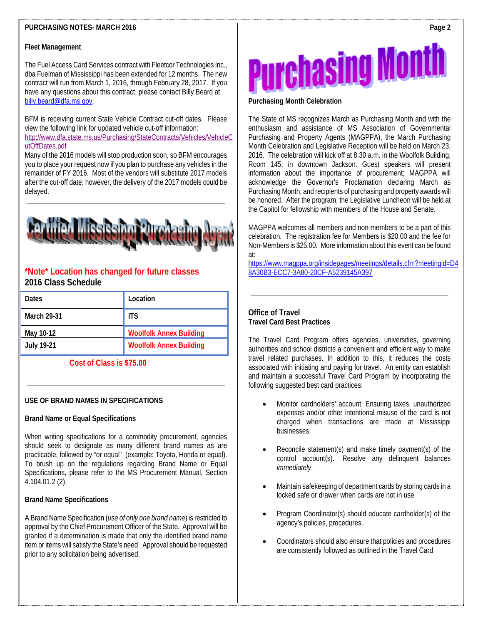# **PURCHASING NOTES- MARCH 2016**

#### **Fleet Management**

The Fuel Access Card Services contract with Fleetcor Technologies Inc., dba Fuelman of Mississippi has been extended for 12 months. The new contract will run from March 1, 2016, through February 28, 2017. If you have any questions about this contract, please contact Billy Beard at billy.beard@dfa.ms.gov.

BFM is receiving current State Vehicle Contract cut-off dates. Please view the following link for updated vehicle cut-off information: http://www.dfa.state.ms.us/Purchasing/StateContracts/Vehicles/VehicleC utOffDates.pdf

Many of the 2016 models will stop production soon, so BFM encourages you to place your request now if you plan to purchase any vehicles in the remainder of FY 2016. Most of the vendors will substitute 2017 models after the cut-off date; however, the delivery of the 2017 models could be delayed.



# **\*Note\* Location has changed for future classes 2016 Class Schedule**

| Dates       | Location                       |
|-------------|--------------------------------|
| March 29-31 | <b>ITS</b>                     |
| May 10-12   | <b>Woolfolk Annex Building</b> |
| July 19-21  | <b>Woolfolk Annex Building</b> |

# **Cost of Class is \$75.00**

# **USE OF BRAND NAMES IN SPECIFICATIONS**

#### **Brand Name or Equal Specifications**

When writing specifications for a commodity procurement, agencies should seek to designate as many different brand names as are practicable, followed by "or equal" (example: Toyota, Honda or equal). To brush up on the regulations regarding Brand Name or Equal Specifications, please refer to the MS Procurement Manual, Section 4.104.01.2 (2).

#### **Brand Name Specifications**

A Brand Name Specification (*use of only one brand name*) is restricted to approval by the Chief Procurement Officer of the State. Approval will be granted if a determination is made that only the identified brand name item or items will satisfy the State's need. Approval should be requested prior to any solicitation being advertised.



#### **Purchasing Month Celebration**

The State of MS recognizes March as Purchasing Month and with the enthusiasm and assistance of MS Association of Governmental Purchasing and Property Agents (MAGPPA), the March Purchasing Month Celebration and Legislative Reception will be held on March 23, 2016. The celebration will kick off at 8:30 a.m. in the Woolfolk Building, Room 145, in downtown Jackson. Guest speakers will present information about the importance of procurement; MAGPPA will acknowledge the Governor's Proclamation declaring March as Purchasing Month; and recipients of purchasing and property awards will be honored. After the program, the Legislative Luncheon will be held at the Capitol for fellowship with members of the House and Senate.

MAGPPA welcomes all members and non-members to be a part of this celebration. The registration fee for Members is \$20.00 and the fee for Non-Members is \$25.00. More information about this event can be found at:

https://www.magppa.org/insidepages/meetings/details.cfm?meetingid=D4 8A30B3-ECC7-3A80-20CF-A5239145A397

# **Office of Travel Travel Card Best Practices**

The Travel Card Program offers agencies, universities, governing authorities and school districts a convenient and efficient way to make travel related purchases. In addition to this, it reduces the costs associated with initiating and paying for travel. An entity can establish and maintain a successful Travel Card Program by incorporating the following suggested best card practices:

- Monitor cardholders' account. Ensuring taxes, unauthorized expenses and/or other intentional misuse of the card is not charged when transactions are made at Mississippi businesses.
- Reconcile statement(s) and make timely payment(s) of the control account(s). Resolve any delinquent balances *immediately*.
- Maintain safekeeping of department cards by storing cards in a locked safe or drawer when cards are not in use.
- Program Coordinator(s) should educate cardholder(s) of the agency's policies, procedures.
- Coordinators should also ensure that policies and procedures are consistently followed as outlined in the Travel Card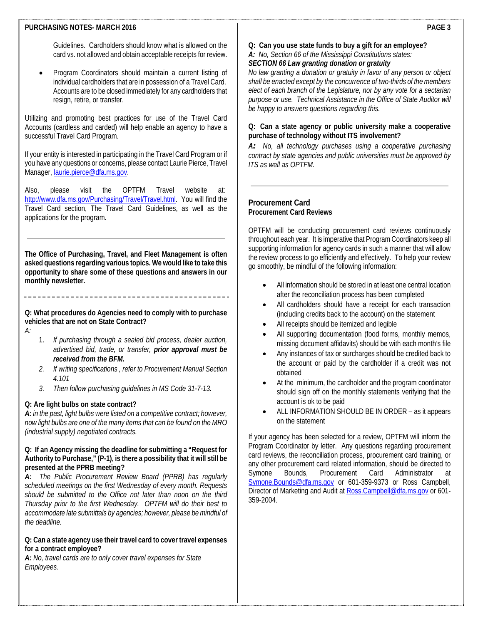#### **PURCHASING NOTES- MARCH 2016**

Guidelines. Cardholders should know what is allowed on the card vs. not allowed and obtain acceptable receipts for review.

 Program Coordinators should maintain a current listing of individual cardholders that are in possession of a Travel Card. Accounts are to be closed immediately for any cardholders that resign, retire, or transfer.

Utilizing and promoting best practices for use of the Travel Card Accounts (cardless and carded) will help enable an agency to have a successful Travel Card Program.

If your entity is interested in participating in the Travel Card Program or if you have any questions or concerns, please contact Laurie Pierce, Travel Manager, laurie.pierce@dfa.ms.gov.

Also, please visit the OPTFM Travel website at: http://www.dfa.ms.gov/Purchasing/Travel/Travel.html. You will find the Travel Card section, The Travel Card Guidelines, as well as the applications for the program.

**The Office of Purchasing, Travel, and Fleet Management is often asked questions regarding various topics. We would like to take this opportunity to share some of these questions and answers in our monthly newsletter.** 

**Q: What procedures do Agencies need to comply with to purchase vehicles that are not on State Contract?** 

- *A:*
- 1. *If purchasing through a sealed bid process, dealer auction, advertised bid, trade, or transfer, prior approval must be received from the BFM.*
- *2. If writing specifications , refer to Procurement Manual Section 4.101*
- *3. Then follow purchasing guidelines in MS Code 31-7-13.*

#### **Q: Are light bulbs on state contract?**

*A: in the past, light bulbs were listed on a competitive contract; however, now light bulbs are one of the many items that can be found on the MRO (industrial supply) negotiated contracts.* 

#### **Q: If an Agency missing the deadline for submitting a "Request for Authority to Purchase," (P-1), is there a possibility that it will still be presented at the PPRB meeting?**

*A:**The Public Procurement Review Board (PPRB) has regularly scheduled meetings on the first Wednesday of every month. Requests should be submitted to the Office not later than noon on the third Thursday prior to the first Wednesday. OPTFM will do their best to accommodate late submittals by agencies; however, please be mindful of the deadline.* 

## **Q: Can a state agency use their travel card to cover travel expenses for a contract employee?**

*A: No, travel cards are to only cover travel expenses for State Employees.* 

**Q: Can you use state funds to buy a gift for an employee?** 

*A: No, Section 66 of the Mississippi Constitutions states:* 

# *SECTION 66 Law granting donation or gratuity*

*No law granting a donation or gratuity in favor of any person or object shall be enacted except by the concurrence of two-thirds of the members elect of each branch of the Legislature, nor by any vote for a sectarian purpose or use. Technical Assistance in the Office of State Auditor will be happy to answers questions regarding this.* 

# **Q: Can a state agency or public university make a cooperative purchase of technology without ITS involvement?**

*A: No, all technology purchases using a cooperative purchasing contract by state agencies and public universities must be approved by ITS as well as OPTFM.*

# **Procurement Card Procurement Card Reviews**

OPTFM will be conducting procurement card reviews continuously throughout each year. It is imperative that Program Coordinators keep all supporting information for agency cards in such a manner that will allow the review process to go efficiently and effectively. To help your review go smoothly, be mindful of the following information:

- All information should be stored in at least one central location after the reconciliation process has been completed
- All cardholders should have a receipt for each transaction (including credits back to the account) on the statement
- All receipts should be itemized and legible
- All supporting documentation (food forms, monthly memos, missing document affidavits) should be with each month's file
- Any instances of tax or surcharges should be credited back to the account or paid by the cardholder if a credit was not obtained
- At the minimum, the cardholder and the program coordinator should sign off on the monthly statements verifying that the account is ok to be paid
- ALL INFORMATION SHOULD BE IN ORDER as it appears on the statement

If your agency has been selected for a review, OPTFM will inform the Program Coordinator by letter. Any questions regarding procurement card reviews, the reconciliation process, procurement card training, or any other procurement card related information, should be directed to Symone Bounds, Procurement Card Administrator at Symone.Bounds@dfa.ms.gov or 601-359-9373 or Ross Campbell, Director of Marketing and Audit at Ross.Campbell@dfa.ms.gov or 601-359-2004.